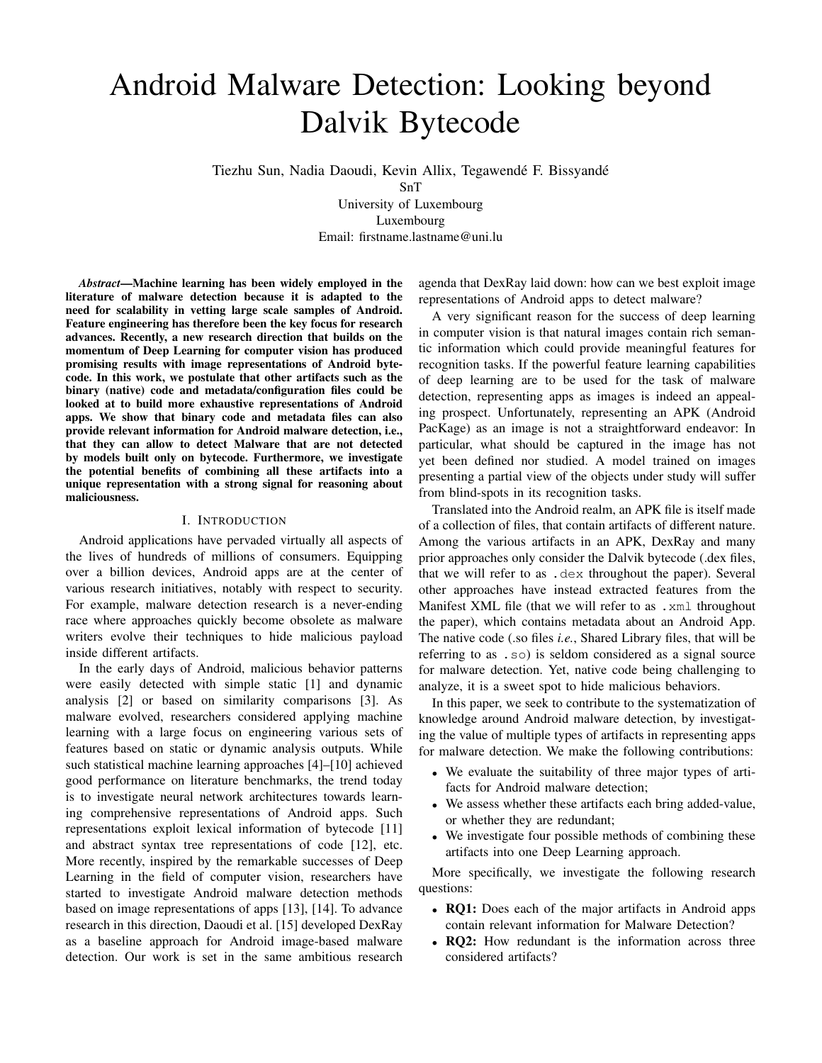# Android Malware Detection: Looking beyond Dalvik Bytecode

Tiezhu Sun, Nadia Daoudi, Kevin Allix, Tegawendé F. Bissyandé SnT

University of Luxembourg Luxembourg Email: firstname.lastname@uni.lu

*Abstract*—Machine learning has been widely employed in the literature of malware detection because it is adapted to the need for scalability in vetting large scale samples of Android. Feature engineering has therefore been the key focus for research advances. Recently, a new research direction that builds on the momentum of Deep Learning for computer vision has produced promising results with image representations of Android bytecode. In this work, we postulate that other artifacts such as the binary (native) code and metadata/configuration files could be looked at to build more exhaustive representations of Android apps. We show that binary code and metadata files can also provide relevant information for Android malware detection, i.e., that they can allow to detect Malware that are not detected by models built only on bytecode. Furthermore, we investigate the potential benefits of combining all these artifacts into a unique representation with a strong signal for reasoning about maliciousness.

#### I. INTRODUCTION

Android applications have pervaded virtually all aspects of the lives of hundreds of millions of consumers. Equipping over a billion devices, Android apps are at the center of various research initiatives, notably with respect to security. For example, malware detection research is a never-ending race where approaches quickly become obsolete as malware writers evolve their techniques to hide malicious payload inside different artifacts.

In the early days of Android, malicious behavior patterns were easily detected with simple static [1] and dynamic analysis [2] or based on similarity comparisons [3]. As malware evolved, researchers considered applying machine learning with a large focus on engineering various sets of features based on static or dynamic analysis outputs. While such statistical machine learning approaches [4]–[10] achieved good performance on literature benchmarks, the trend today is to investigate neural network architectures towards learning comprehensive representations of Android apps. Such representations exploit lexical information of bytecode [11] and abstract syntax tree representations of code [12], etc. More recently, inspired by the remarkable successes of Deep Learning in the field of computer vision, researchers have started to investigate Android malware detection methods based on image representations of apps [13], [14]. To advance research in this direction, Daoudi et al. [15] developed DexRay as a baseline approach for Android image-based malware detection. Our work is set in the same ambitious research

agenda that DexRay laid down: how can we best exploit image representations of Android apps to detect malware?

A very significant reason for the success of deep learning in computer vision is that natural images contain rich semantic information which could provide meaningful features for recognition tasks. If the powerful feature learning capabilities of deep learning are to be used for the task of malware detection, representing apps as images is indeed an appealing prospect. Unfortunately, representing an APK (Android PacKage) as an image is not a straightforward endeavor: In particular, what should be captured in the image has not yet been defined nor studied. A model trained on images presenting a partial view of the objects under study will suffer from blind-spots in its recognition tasks.

Translated into the Android realm, an APK file is itself made of a collection of files, that contain artifacts of different nature. Among the various artifacts in an APK, DexRay and many prior approaches only consider the Dalvik bytecode (.dex files, that we will refer to as .dex throughout the paper). Several other approaches have instead extracted features from the Manifest XML file (that we will refer to as .xml throughout the paper), which contains metadata about an Android App. The native code (.so files *i.e.*, Shared Library files, that will be referring to as .so) is seldom considered as a signal source for malware detection. Yet, native code being challenging to analyze, it is a sweet spot to hide malicious behaviors.

In this paper, we seek to contribute to the systematization of knowledge around Android malware detection, by investigating the value of multiple types of artifacts in representing apps for malware detection. We make the following contributions:

- We evaluate the suitability of three major types of artifacts for Android malware detection;
- We assess whether these artifacts each bring added-value, or whether they are redundant;
- We investigate four possible methods of combining these artifacts into one Deep Learning approach.

More specifically, we investigate the following research questions:

- RQ1: Does each of the major artifacts in Android apps contain relevant information for Malware Detection?
- RO2: How redundant is the information across three considered artifacts?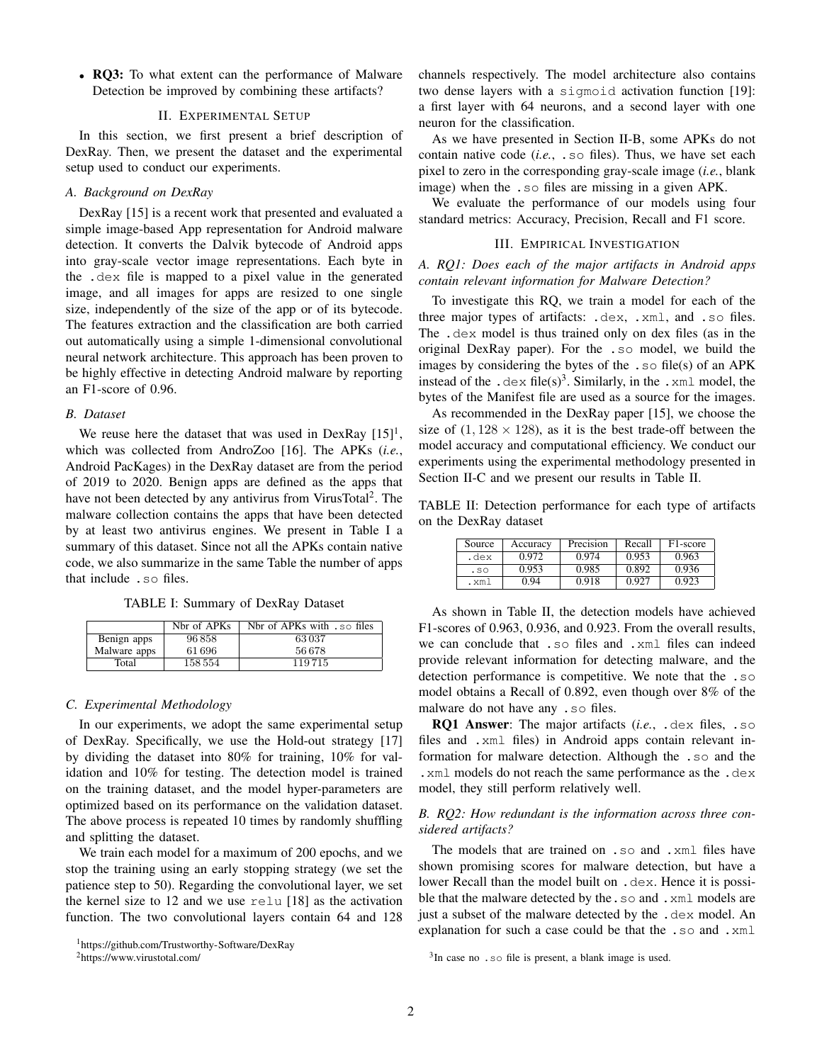• RQ3: To what extent can the performance of Malware Detection be improved by combining these artifacts?

#### II. EXPERIMENTAL SETUP

In this section, we first present a brief description of DexRay. Then, we present the dataset and the experimental setup used to conduct our experiments.

# *A. Background on DexRay*

DexRay [15] is a recent work that presented and evaluated a simple image-based App representation for Android malware detection. It converts the Dalvik bytecode of Android apps into gray-scale vector image representations. Each byte in the .dex file is mapped to a pixel value in the generated image, and all images for apps are resized to one single size, independently of the size of the app or of its bytecode. The features extraction and the classification are both carried out automatically using a simple 1-dimensional convolutional neural network architecture. This approach has been proven to be highly effective in detecting Android malware by reporting an F1-score of 0.96.

## *B. Dataset*

We reuse here the dataset that was used in DexRay  $[15]$ <sup>1</sup>, which was collected from AndroZoo [16]. The APKs (*i.e.*, Android PacKages) in the DexRay dataset are from the period of 2019 to 2020. Benign apps are defined as the apps that have not been detected by any antivirus from VirusTotal<sup>2</sup>. The malware collection contains the apps that have been detected by at least two antivirus engines. We present in Table I a summary of this dataset. Since not all the APKs contain native code, we also summarize in the same Table the number of apps that include .so files.

TABLE I: Summary of DexRay Dataset

|              | Nbr of APKs | Nbr of APKs with . so files |
|--------------|-------------|-----------------------------|
| Benign apps  | 96858       | 63037                       |
| Malware apps | 61 696      | 56678                       |
| Total        | 158554      | 119 715                     |

#### *C. Experimental Methodology*

In our experiments, we adopt the same experimental setup of DexRay. Specifically, we use the Hold-out strategy [17] by dividing the dataset into 80% for training, 10% for validation and 10% for testing. The detection model is trained on the training dataset, and the model hyper-parameters are optimized based on its performance on the validation dataset. The above process is repeated 10 times by randomly shuffling and splitting the dataset.

We train each model for a maximum of 200 epochs, and we stop the training using an early stopping strategy (we set the patience step to 50). Regarding the convolutional layer, we set the kernel size to 12 and we use relu [18] as the activation function. The two convolutional layers contain 64 and 128 channels respectively. The model architecture also contains two dense layers with a sigmoid activation function [19]: a first layer with 64 neurons, and a second layer with one neuron for the classification.

As we have presented in Section II-B, some APKs do not contain native code (*i.e.*, .so files). Thus, we have set each pixel to zero in the corresponding gray-scale image (*i.e.*, blank image) when the .so files are missing in a given APK.

We evaluate the performance of our models using four standard metrics: Accuracy, Precision, Recall and F1 score.

# III. EMPIRICAL INVESTIGATION

# *A. RQ1: Does each of the major artifacts in Android apps contain relevant information for Malware Detection?*

To investigate this RQ, we train a model for each of the three major types of artifacts: .dex, .xml, and .so files. The .dex model is thus trained only on dex files (as in the original DexRay paper). For the .so model, we build the images by considering the bytes of the .so file(s) of an APK instead of the .  $\text{dex}$  file(s)<sup>3</sup>. Similarly, in the . xml model, the bytes of the Manifest file are used as a source for the images.

As recommended in the DexRay paper [15], we choose the size of  $(1, 128 \times 128)$ , as it is the best trade-off between the model accuracy and computational efficiency. We conduct our experiments using the experimental methodology presented in Section II-C and we present our results in Table II.

TABLE II: Detection performance for each type of artifacts on the DexRay dataset

| Source | Accuracy | Precision | Recall | F <sub>1</sub> -score |
|--------|----------|-----------|--------|-----------------------|
| .dex   | 0.972    | 0.974     | 0.953  | 0.963                 |
| .50    | 0.953    | 0.985     | 0.892  | 0.936                 |
| . xm l | 0.94     | 0.918     | 0.927  | 0.923                 |

As shown in Table II, the detection models have achieved F1-scores of 0.963, 0.936, and 0.923. From the overall results, we can conclude that .so files and .xml files can indeed provide relevant information for detecting malware, and the detection performance is competitive. We note that the .so model obtains a Recall of 0.892, even though over 8% of the malware do not have any .so files.

RQ1 Answer: The major artifacts (*i.e.*, .dex files, .so files and .xml files) in Android apps contain relevant information for malware detection. Although the .so and the .xml models do not reach the same performance as the .dex model, they still perform relatively well.

# *B. RQ2: How redundant is the information across three considered artifacts?*

The models that are trained on .so and .xml files have shown promising scores for malware detection, but have a lower Recall than the model built on . dex. Hence it is possible that the malware detected by the . so and . xml models are just a subset of the malware detected by the .dex model. An explanation for such a case could be that the .so and .xml

<sup>1</sup>https://github.com/Trustworthy-Software/DexRay

<sup>2</sup>https://www.virustotal.com/

 $3$ In case no . so file is present, a blank image is used.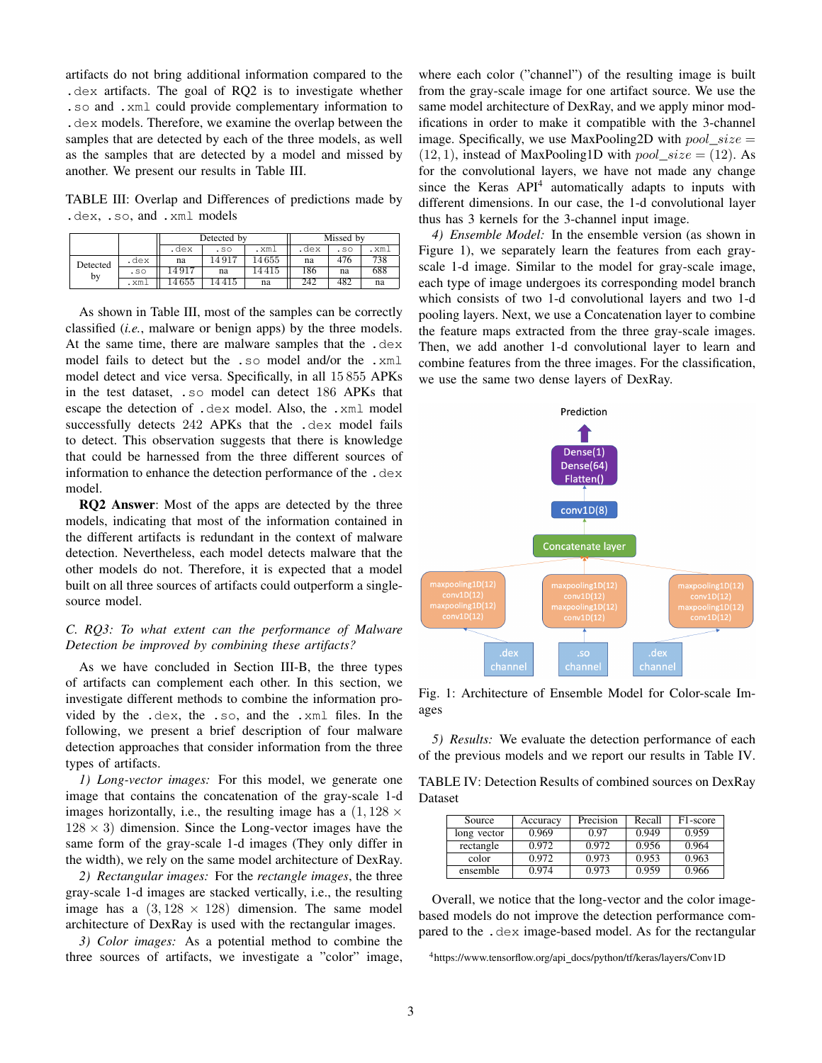artifacts do not bring additional information compared to the .dex artifacts. The goal of RQ2 is to investigate whether .so and .xml could provide complementary information to .dex models. Therefore, we examine the overlap between the samples that are detected by each of the three models, as well as the samples that are detected by a model and missed by another. We present our results in Table III.

TABLE III: Overlap and Differences of predictions made by .dex, .so, and .xml models

|                |      | Detected by |       |        | Missed by |     |      |
|----------------|------|-------------|-------|--------|-----------|-----|------|
|                |      | .dex        | .50   | .xml   | .dex      | .50 | .xml |
| Detected<br>by | .dex | na          | 14917 | 14 655 | na        | 476 | 738  |
|                | .50  | 14917       | na    | 4415   | 186       | na  | 688  |
|                | .xml | 14 655      | .4415 | na     | 242       | 482 | na   |

As shown in Table III, most of the samples can be correctly classified (*i.e.*, malware or benign apps) by the three models. At the same time, there are malware samples that the .dex model fails to detect but the .so model and/or the .xml model detect and vice versa. Specifically, in all 15 855 APKs in the test dataset, .so model can detect 186 APKs that escape the detection of .dex model. Also, the .xml model successfully detects 242 APKs that the .dex model fails to detect. This observation suggests that there is knowledge that could be harnessed from the three different sources of information to enhance the detection performance of the .dex model.

RQ2 Answer: Most of the apps are detected by the three models, indicating that most of the information contained in the different artifacts is redundant in the context of malware detection. Nevertheless, each model detects malware that the other models do not. Therefore, it is expected that a model built on all three sources of artifacts could outperform a singlesource model.

# *C. RQ3: To what extent can the performance of Malware Detection be improved by combining these artifacts?*

As we have concluded in Section III-B, the three types of artifacts can complement each other. In this section, we investigate different methods to combine the information provided by the .dex, the .so, and the .xml files. In the following, we present a brief description of four malware detection approaches that consider information from the three types of artifacts.

*1) Long-vector images:* For this model, we generate one image that contains the concatenation of the gray-scale 1-d images horizontally, i.e., the resulting image has a  $(1, 128 \times$  $128 \times 3$ ) dimension. Since the Long-vector images have the same form of the gray-scale 1-d images (They only differ in the width), we rely on the same model architecture of DexRay.

*2) Rectangular images:* For the *rectangle images*, the three gray-scale 1-d images are stacked vertically, i.e., the resulting image has a  $(3, 128 \times 128)$  dimension. The same model architecture of DexRay is used with the rectangular images.

*3) Color images:* As a potential method to combine the three sources of artifacts, we investigate a "color" image, where each color ("channel") of the resulting image is built from the gray-scale image for one artifact source. We use the same model architecture of DexRay, and we apply minor modifications in order to make it compatible with the 3-channel image. Specifically, we use MaxPooling2D with  $pool\_size =$  $(12, 1)$ , instead of MaxPooling1D with  $pool\_size = (12)$ . As for the convolutional layers, we have not made any change since the Keras API<sup>4</sup> automatically adapts to inputs with different dimensions. In our case, the 1-d convolutional layer thus has 3 kernels for the 3-channel input image.

*4) Ensemble Model:* In the ensemble version (as shown in Figure 1), we separately learn the features from each grayscale 1-d image. Similar to the model for gray-scale image, each type of image undergoes its corresponding model branch which consists of two 1-d convolutional layers and two 1-d pooling layers. Next, we use a Concatenation layer to combine the feature maps extracted from the three gray-scale images. Then, we add another 1-d convolutional layer to learn and combine features from the three images. For the classification, we use the same two dense layers of DexRay.



Fig. 1: Architecture of Ensemble Model for Color-scale Images

*5) Results:* We evaluate the detection performance of each of the previous models and we report our results in Table IV.

TABLE IV: Detection Results of combined sources on DexRay Dataset

| Source      | Accuracy | Precision | Recall | F1-score |
|-------------|----------|-----------|--------|----------|
| long vector | 0.969    | 0.97      | 0.949  | 0.959    |
| rectangle   | 0.972    | 0.972     | 0.956  | 0.964    |
| color       | 0.972    | 0.973     | 0.953  | 0.963    |
| ensemble    | 0.974    | 0.973     | 0.959  | 0.966    |

Overall, we notice that the long-vector and the color imagebased models do not improve the detection performance compared to the .dex image-based model. As for the rectangular

<sup>4</sup>https://www.tensorflow.org/api docs/python/tf/keras/layers/Conv1D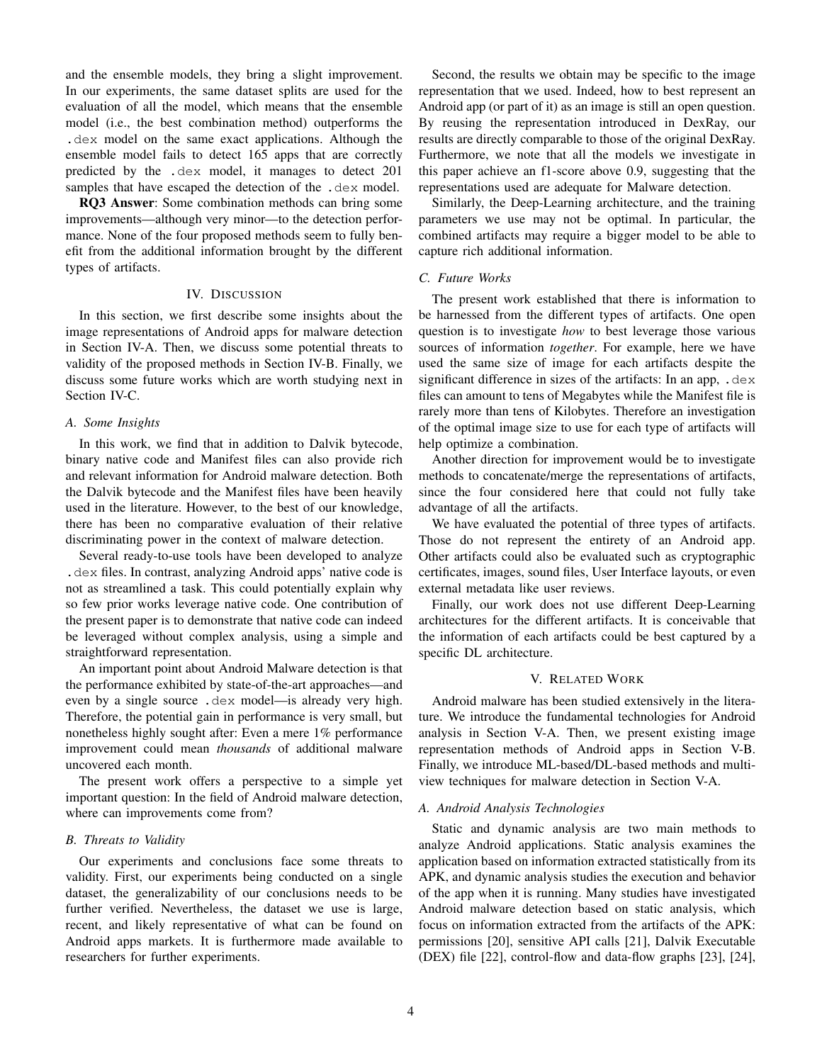and the ensemble models, they bring a slight improvement. In our experiments, the same dataset splits are used for the evaluation of all the model, which means that the ensemble model (i.e., the best combination method) outperforms the .dex model on the same exact applications. Although the ensemble model fails to detect 165 apps that are correctly predicted by the .dex model, it manages to detect 201 samples that have escaped the detection of the .dex model.

RQ3 Answer: Some combination methods can bring some improvements—although very minor—to the detection performance. None of the four proposed methods seem to fully benefit from the additional information brought by the different types of artifacts.

## IV. DISCUSSION

In this section, we first describe some insights about the image representations of Android apps for malware detection in Section IV-A. Then, we discuss some potential threats to validity of the proposed methods in Section IV-B. Finally, we discuss some future works which are worth studying next in Section IV-C.

## *A. Some Insights*

In this work, we find that in addition to Dalvik bytecode, binary native code and Manifest files can also provide rich and relevant information for Android malware detection. Both the Dalvik bytecode and the Manifest files have been heavily used in the literature. However, to the best of our knowledge, there has been no comparative evaluation of their relative discriminating power in the context of malware detection.

Several ready-to-use tools have been developed to analyze .dex files. In contrast, analyzing Android apps' native code is not as streamlined a task. This could potentially explain why so few prior works leverage native code. One contribution of the present paper is to demonstrate that native code can indeed be leveraged without complex analysis, using a simple and straightforward representation.

An important point about Android Malware detection is that the performance exhibited by state-of-the-art approaches—and even by a single source .dex model—is already very high. Therefore, the potential gain in performance is very small, but nonetheless highly sought after: Even a mere 1% performance improvement could mean *thousands* of additional malware uncovered each month.

The present work offers a perspective to a simple yet important question: In the field of Android malware detection, where can improvements come from?

#### *B. Threats to Validity*

Our experiments and conclusions face some threats to validity. First, our experiments being conducted on a single dataset, the generalizability of our conclusions needs to be further verified. Nevertheless, the dataset we use is large, recent, and likely representative of what can be found on Android apps markets. It is furthermore made available to researchers for further experiments.

Second, the results we obtain may be specific to the image representation that we used. Indeed, how to best represent an Android app (or part of it) as an image is still an open question. By reusing the representation introduced in DexRay, our results are directly comparable to those of the original DexRay. Furthermore, we note that all the models we investigate in this paper achieve an f1-score above 0.9, suggesting that the representations used are adequate for Malware detection.

Similarly, the Deep-Learning architecture, and the training parameters we use may not be optimal. In particular, the combined artifacts may require a bigger model to be able to capture rich additional information.

#### *C. Future Works*

The present work established that there is information to be harnessed from the different types of artifacts. One open question is to investigate *how* to best leverage those various sources of information *together*. For example, here we have used the same size of image for each artifacts despite the significant difference in sizes of the artifacts: In an app, .dex files can amount to tens of Megabytes while the Manifest file is rarely more than tens of Kilobytes. Therefore an investigation of the optimal image size to use for each type of artifacts will help optimize a combination.

Another direction for improvement would be to investigate methods to concatenate/merge the representations of artifacts, since the four considered here that could not fully take advantage of all the artifacts.

We have evaluated the potential of three types of artifacts. Those do not represent the entirety of an Android app. Other artifacts could also be evaluated such as cryptographic certificates, images, sound files, User Interface layouts, or even external metadata like user reviews.

Finally, our work does not use different Deep-Learning architectures for the different artifacts. It is conceivable that the information of each artifacts could be best captured by a specific DL architecture.

## V. RELATED WORK

Android malware has been studied extensively in the literature. We introduce the fundamental technologies for Android analysis in Section V-A. Then, we present existing image representation methods of Android apps in Section V-B. Finally, we introduce ML-based/DL-based methods and multiview techniques for malware detection in Section V-A.

#### *A. Android Analysis Technologies*

Static and dynamic analysis are two main methods to analyze Android applications. Static analysis examines the application based on information extracted statistically from its APK, and dynamic analysis studies the execution and behavior of the app when it is running. Many studies have investigated Android malware detection based on static analysis, which focus on information extracted from the artifacts of the APK: permissions [20], sensitive API calls [21], Dalvik Executable (DEX) file [22], control-flow and data-flow graphs [23], [24],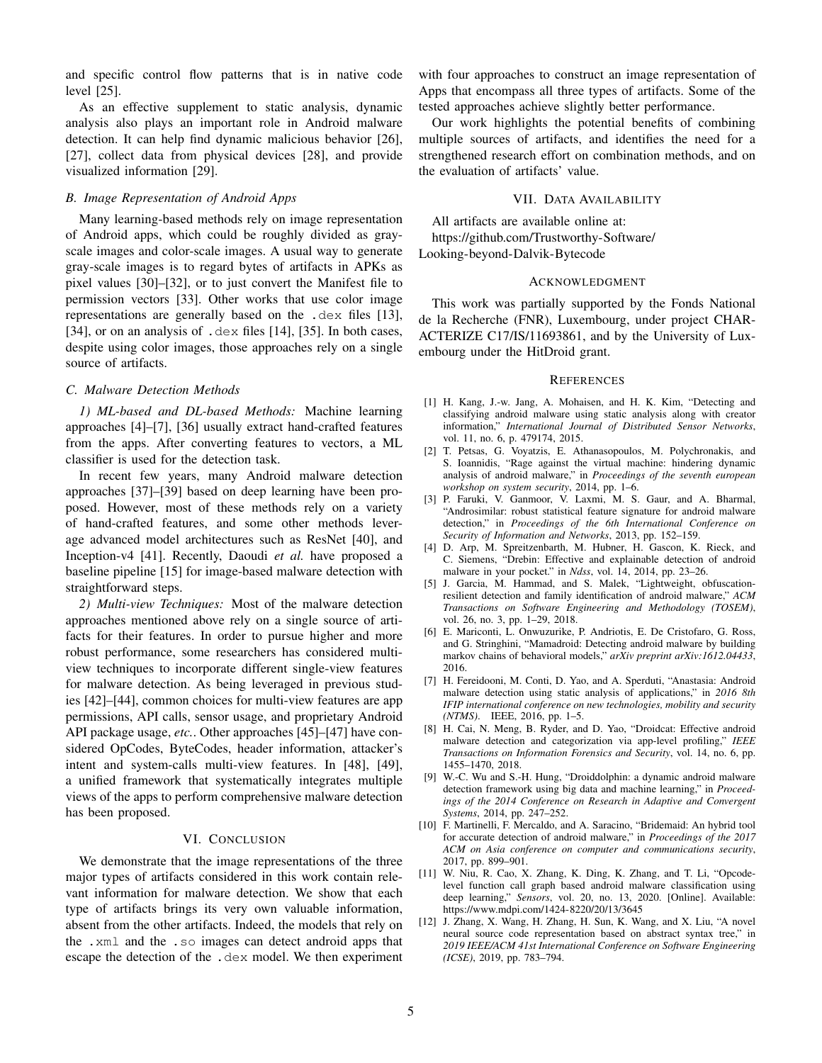and specific control flow patterns that is in native code level [25].

As an effective supplement to static analysis, dynamic analysis also plays an important role in Android malware detection. It can help find dynamic malicious behavior [26], [27], collect data from physical devices [28], and provide visualized information [29].

## *B. Image Representation of Android Apps*

Many learning-based methods rely on image representation of Android apps, which could be roughly divided as grayscale images and color-scale images. A usual way to generate gray-scale images is to regard bytes of artifacts in APKs as pixel values [30]–[32], or to just convert the Manifest file to permission vectors [33]. Other works that use color image representations are generally based on the .dex files [13], [34], or on an analysis of .dex files [14], [35]. In both cases, despite using color images, those approaches rely on a single source of artifacts.

## *C. Malware Detection Methods*

*1) ML-based and DL-based Methods:* Machine learning approaches [4]–[7], [36] usually extract hand-crafted features from the apps. After converting features to vectors, a ML classifier is used for the detection task.

In recent few years, many Android malware detection approaches [37]–[39] based on deep learning have been proposed. However, most of these methods rely on a variety of hand-crafted features, and some other methods leverage advanced model architectures such as ResNet [40], and Inception-v4 [41]. Recently, Daoudi *et al.* have proposed a baseline pipeline [15] for image-based malware detection with straightforward steps.

*2) Multi-view Techniques:* Most of the malware detection approaches mentioned above rely on a single source of artifacts for their features. In order to pursue higher and more robust performance, some researchers has considered multiview techniques to incorporate different single-view features for malware detection. As being leveraged in previous studies [42]–[44], common choices for multi-view features are app permissions, API calls, sensor usage, and proprietary Android API package usage, *etc.*. Other approaches [45]–[47] have considered OpCodes, ByteCodes, header information, attacker's intent and system-calls multi-view features. In [48], [49], a unified framework that systematically integrates multiple views of the apps to perform comprehensive malware detection has been proposed.

## VI. CONCLUSION

We demonstrate that the image representations of the three major types of artifacts considered in this work contain relevant information for malware detection. We show that each type of artifacts brings its very own valuable information, absent from the other artifacts. Indeed, the models that rely on the .xml and the .so images can detect android apps that escape the detection of the .dex model. We then experiment with four approaches to construct an image representation of Apps that encompass all three types of artifacts. Some of the tested approaches achieve slightly better performance.

Our work highlights the potential benefits of combining multiple sources of artifacts, and identifies the need for a strengthened research effort on combination methods, and on the evaluation of artifacts' value.

## VII. DATA AVAILABILITY

All artifacts are available online at: https://github.com/Trustworthy-Software/ Looking-beyond-Dalvik-Bytecode

#### ACKNOWLEDGMENT

This work was partially supported by the Fonds National de la Recherche (FNR), Luxembourg, under project CHAR-ACTERIZE C17/IS/11693861, and by the University of Luxembourg under the HitDroid grant.

#### **REFERENCES**

- [1] H. Kang, J.-w. Jang, A. Mohaisen, and H. K. Kim, "Detecting and classifying android malware using static analysis along with creator information," *International Journal of Distributed Sensor Networks*, vol. 11, no. 6, p. 479174, 2015.
- [2] T. Petsas, G. Voyatzis, E. Athanasopoulos, M. Polychronakis, and S. Ioannidis, "Rage against the virtual machine: hindering dynamic analysis of android malware," in *Proceedings of the seventh european workshop on system security*, 2014, pp. 1–6.
- [3] P. Faruki, V. Ganmoor, V. Laxmi, M. S. Gaur, and A. Bharmal, "Androsimilar: robust statistical feature signature for android malware detection," in *Proceedings of the 6th International Conference on Security of Information and Networks*, 2013, pp. 152–159.
- [4] D. Arp, M. Spreitzenbarth, M. Hubner, H. Gascon, K. Rieck, and C. Siemens, "Drebin: Effective and explainable detection of android malware in your pocket." in *Ndss*, vol. 14, 2014, pp. 23–26.
- [5] J. Garcia, M. Hammad, and S. Malek, "Lightweight, obfuscationresilient detection and family identification of android malware," *ACM Transactions on Software Engineering and Methodology (TOSEM)*, vol. 26, no. 3, pp. 1–29, 2018.
- [6] E. Mariconti, L. Onwuzurike, P. Andriotis, E. De Cristofaro, G. Ross, and G. Stringhini, "Mamadroid: Detecting android malware by building markov chains of behavioral models," *arXiv preprint arXiv:1612.04433*, 2016.
- [7] H. Fereidooni, M. Conti, D. Yao, and A. Sperduti, "Anastasia: Android malware detection using static analysis of applications," in *2016 8th IFIP international conference on new technologies, mobility and security (NTMS)*. IEEE, 2016, pp. 1–5.
- [8] H. Cai, N. Meng, B. Ryder, and D. Yao, "Droidcat: Effective android malware detection and categorization via app-level profiling," *IEEE Transactions on Information Forensics and Security*, vol. 14, no. 6, pp. 1455–1470, 2018.
- [9] W.-C. Wu and S.-H. Hung, "Droiddolphin: a dynamic android malware detection framework using big data and machine learning," in *Proceedings of the 2014 Conference on Research in Adaptive and Convergent Systems*, 2014, pp. 247–252.
- [10] F. Martinelli, F. Mercaldo, and A. Saracino, "Bridemaid: An hybrid tool for accurate detection of android malware," in *Proceedings of the 2017 ACM on Asia conference on computer and communications security*, 2017, pp. 899–901.
- [11] W. Niu, R. Cao, X. Zhang, K. Ding, K. Zhang, and T. Li, "Opcodelevel function call graph based android malware classification using deep learning," *Sensors*, vol. 20, no. 13, 2020. [Online]. Available: https://www.mdpi.com/1424-8220/20/13/3645
- [12] J. Zhang, X. Wang, H. Zhang, H. Sun, K. Wang, and X. Liu, "A novel neural source code representation based on abstract syntax tree," in *2019 IEEE/ACM 41st International Conference on Software Engineering (ICSE)*, 2019, pp. 783–794.